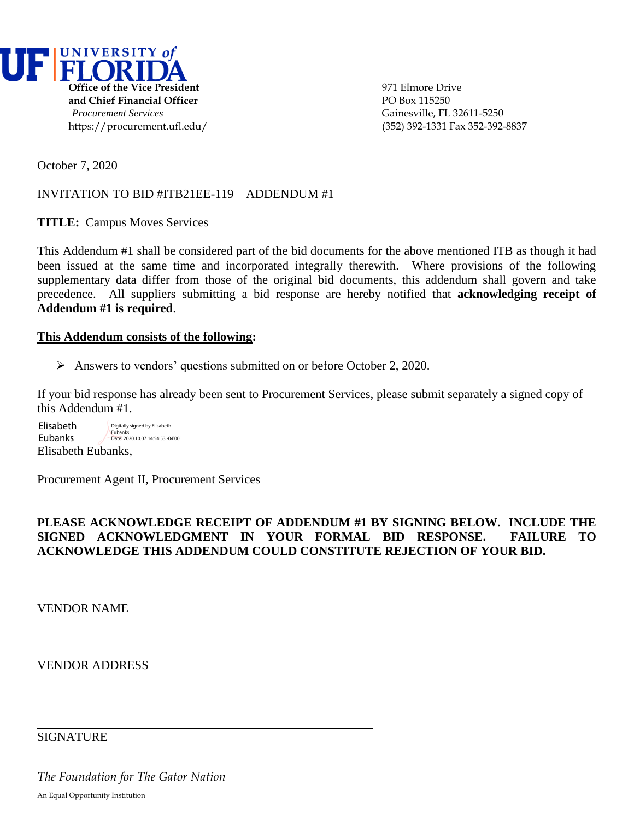

October 7, 2020

## INVITATION TO BID #ITB21EE-119—ADDENDUM #1

**TITLE:** Campus Moves Services

This Addendum #1 shall be considered part of the bid documents for the above mentioned ITB as though it had been issued at the same time and incorporated integrally therewith. Where provisions of the following supplementary data differ from those of the original bid documents, this addendum shall govern and take precedence. All suppliers submitting a bid response are hereby notified that **acknowledging receipt of Addendum #1 is required**.

## **This Addendum consists of the following:**

➢ Answers to vendors' questions submitted on or before October 2, 2020.

If your bid response has already been sent to Procurement Services, please submit separately a signed copy of this Addendum #1.

Elisabeth Eubanks, Elisabeth Eubanks Digitally signed by Elisabeth Eubanks Date: 2020.10.07 14:54:53 -04'00'

Procurement Agent II, Procurement Services

## **PLEASE ACKNOWLEDGE RECEIPT OF ADDENDUM #1 BY SIGNING BELOW. INCLUDE THE SIGNED ACKNOWLEDGMENT IN YOUR FORMAL BID RESPONSE. FAILURE TO ACKNOWLEDGE THIS ADDENDUM COULD CONSTITUTE REJECTION OF YOUR BID.**

VENDOR NAME

VENDOR ADDRESS

**SIGNATURE** 

*The Foundation for The Gator Nation* An Equal Opportunity Institution